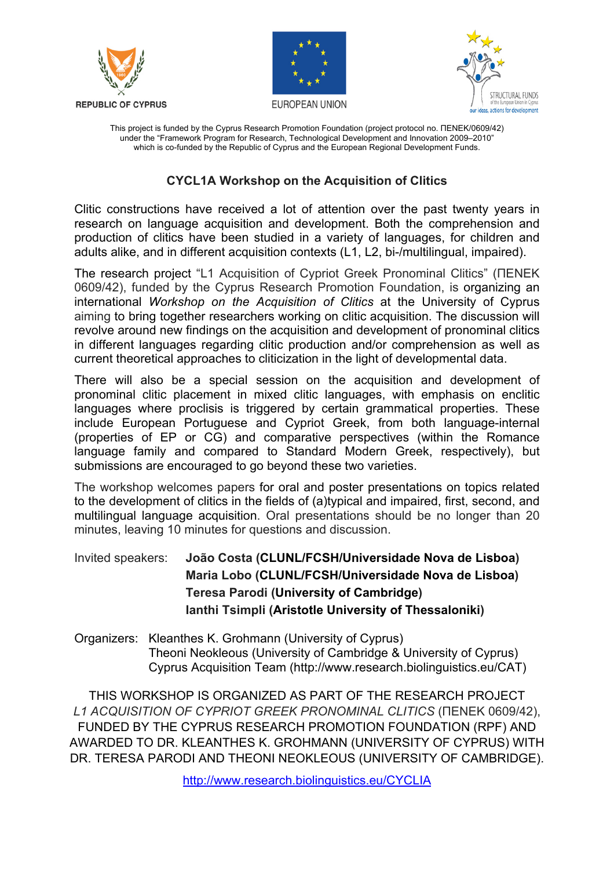





This project is funded by the Cyprus Research Promotion Foundation (project protocol no. ΠΕΝΕΚ/0609/42) under the "Framework Program for Research, Technological Development and Innovation 2009–2010" which is co-funded by the Republic of Cyprus and the European Regional Development Funds.

## **CYCL1A Workshop on the Acquisition of Clitics**

Clitic constructions have received a lot of attention over the past twenty years in research on language acquisition and development. Both the comprehension and production of clitics have been studied in a variety of languages, for children and adults alike, and in different acquisition contexts (L1, L2, bi-/multilingual, impaired).

The research project "L1 Acquisition of Cypriot Greek Pronominal Clitics" (ΠΕΝΕΚ 0609/42), funded by the Cyprus Research Promotion Foundation, is organizing an international *Workshop on the Acquisition of Clitics* at the University of Cyprus aiming to bring together researchers working on clitic acquisition. The discussion will revolve around new findings on the acquisition and development of pronominal clitics in different languages regarding clitic production and/or comprehension as well as current theoretical approaches to cliticization in the light of developmental data.

There will also be a special session on the acquisition and development of pronominal clitic placement in mixed clitic languages, with emphasis on enclitic languages where proclisis is triggered by certain grammatical properties. These include European Portuguese and Cypriot Greek, from both language-internal (properties of EP or CG) and comparative perspectives (within the Romance language family and compared to Standard Modern Greek, respectively), but submissions are encouraged to go beyond these two varieties.

The workshop welcomes papers for oral and poster presentations on topics related to the development of clitics in the fields of (a)typical and impaired, first, second, and multilingual language acquisition. Oral presentations should be no longer than 20 minutes, leaving 10 minutes for questions and discussion.

Invited speakers: **João Costa (CLUNL/FCSH/Universidade Nova de Lisboa) Maria Lobo (CLUNL/FCSH/Universidade Nova de Lisboa) Teresa Parodi (University of Cambridge) Ianthi Tsimpli (Aristotle University of Thessaloniki)**

Organizers: Kleanthes K. Grohmann (University of Cyprus) Theoni Neokleous (University of Cambridge & University of Cyprus) Cyprus Acquisition Team (http://www.research.biolinguistics.eu/CAT)

THIS WORKSHOP IS ORGANIZED AS PART OF THE RESEARCH PROJECT *L1 ACQUISITION OF CYPRIOT GREEK PRONOMINAL CLITICS* (ΠΕΝΕΚ 0609/42), FUNDED BY THE CYPRUS RESEARCH PROMOTION FOUNDATION (RPF) AND AWARDED TO DR. KLEANTHES K. GROHMANN (UNIVERSITY OF CYPRUS) WITH DR. TERESA PARODI AND THEONI NEOKLEOUS (UNIVERSITY OF CAMBRIDGE).

http://www.research.biolinguistics.eu/CYCLIA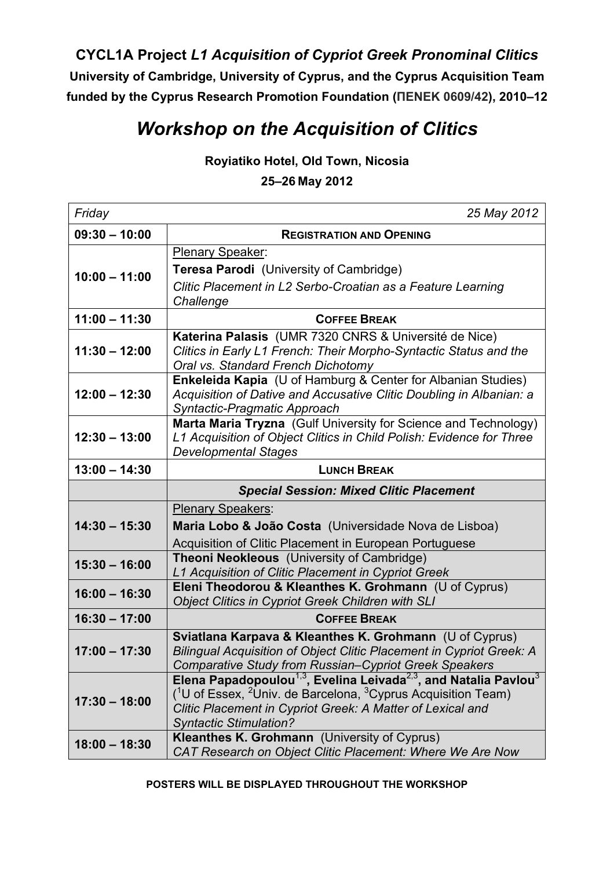**CYCL1A Project** *L1 Acquisition of Cypriot Greek Pronominal Clitics* **University of Cambridge, University of Cyprus, and the Cyprus Acquisition Team funded by the Cyprus Research Promotion Foundation (ΠΕΝΕΚ 0609/42), 2010–12**

## *Workshop on the Acquisition of Clitics*

**Royiatiko Hotel, Old Town, Nicosia**

**25–26 May 2012**

| Friday          | 25 May 2012                                                                                                                                          |
|-----------------|------------------------------------------------------------------------------------------------------------------------------------------------------|
| $09:30 - 10:00$ | <b>REGISTRATION AND OPENING</b>                                                                                                                      |
| $10:00 - 11:00$ | <b>Plenary Speaker:</b>                                                                                                                              |
|                 | Teresa Parodi (University of Cambridge)                                                                                                              |
|                 | Clitic Placement in L2 Serbo-Croatian as a Feature Learning                                                                                          |
|                 | Challenge                                                                                                                                            |
| $11:00 - 11:30$ | <b>COFFEE BREAK</b>                                                                                                                                  |
| $11:30 - 12:00$ | Katerina Palasis (UMR 7320 CNRS & Université de Nice)                                                                                                |
|                 | Clitics in Early L1 French: Their Morpho-Syntactic Status and the<br>Oral vs. Standard French Dichotomy                                              |
|                 | Enkeleida Kapia (U of Hamburg & Center for Albanian Studies)                                                                                         |
| $12:00 - 12:30$ | Acquisition of Dative and Accusative Clitic Doubling in Albanian: a                                                                                  |
|                 | Syntactic-Pragmatic Approach                                                                                                                         |
| $12:30 - 13:00$ | Marta Maria Tryzna (Gulf University for Science and Technology)                                                                                      |
|                 | L1 Acquisition of Object Clitics in Child Polish: Evidence for Three<br><b>Developmental Stages</b>                                                  |
| $13:00 - 14:30$ | <b>LUNCH BREAK</b>                                                                                                                                   |
|                 | <b>Special Session: Mixed Clitic Placement</b>                                                                                                       |
|                 |                                                                                                                                                      |
|                 | <b>Plenary Speakers:</b>                                                                                                                             |
| $14:30 - 15:30$ | Maria Lobo & João Costa (Universidade Nova de Lisboa)                                                                                                |
|                 | Acquisition of Clitic Placement in European Portuguese                                                                                               |
|                 | Theoni Neokleous (University of Cambridge)                                                                                                           |
| $15:30 - 16:00$ | L1 Acquisition of Clitic Placement in Cypriot Greek                                                                                                  |
| $16:00 - 16:30$ | Eleni Theodorou & Kleanthes K. Grohmann (U of Cyprus)                                                                                                |
| $16:30 - 17:00$ | <b>Object Clitics in Cypriot Greek Children with SLI</b><br><b>COFFEE BREAK</b>                                                                      |
|                 | Sviatlana Karpava & Kleanthes K. Grohmann (U of Cyprus)                                                                                              |
| $17:00 - 17:30$ | Bilingual Acquisition of Object Clitic Placement in Cypriot Greek: A                                                                                 |
|                 | Comparative Study from Russian-Cypriot Greek Speakers                                                                                                |
|                 | Elena Papadopoulou <sup>1,3</sup> , Evelina Leivada <sup>2,3</sup> , and Natalia Pavlou <sup>3</sup>                                                 |
| $17:30 - 18:00$ | $(10$ of Essex, <sup>2</sup> Univ. de Barcelona, <sup>3</sup> Cyprus Acquisition Team)<br>Clitic Placement in Cypriot Greek: A Matter of Lexical and |
|                 | <b>Syntactic Stimulation?</b>                                                                                                                        |
| $18:00 - 18:30$ | <b>Kleanthes K. Grohmann</b> (University of Cyprus)<br>CAT Research on Object Clitic Placement: Where We Are Now                                     |

**POSTERS WILL BE DISPLAYED THROUGHOUT THE WORKSHOP**